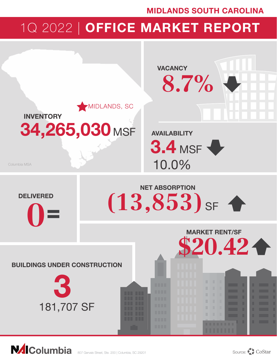## MIDLANDS SOUTH CAROLINA

# 1Q 2022 | OFFICE MARKET REPORT



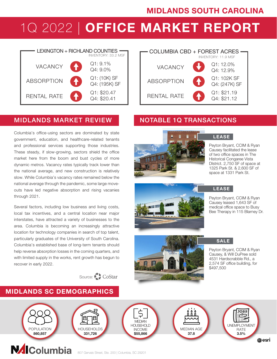## MIDLANDS SOUTH CAROLINA

# 1Q 2022 | OFFICE MARKET REPORT



### MIDLANDS MARKET REVIEW NOTABLE 1Q TRANSACTIONS

Columbia's office-using sectors are dominated by state government, education, and healthcare-related tenants and professional services supporting those industries. These steady, if slow-growing, sectors shield the office market here from the boom and bust cycles of more dynamic metros. Vacancy rates typically track lower than the national average, and new construction is relatively slow. While Columbia's vacancy rates remained below the national average through the pandemic, some large moveouts have led negative absorption and rising vacanies through 2021.

Several factors, including low business and living costs, local tax incentives, and a central location near major interstates, have attracted a variety of businesses to the area. Columbia is becoming an increasingly attractive location for technology companies in search of top talent, particularly graduates of the University of South Carolina. Columbia's established base of long-term tenants should help reverse absorption losses in the coming quarters, and with limited supply in the works, rent growth has begun to recover in early 2022.



#### COLUMBIA CBD + FOREST ACRES INVENTORY: 11.9 MSF RENTAL RATE **ABSORPTION** Q1: \$21.19 Q4: \$21.12 Q1: 102K SF Q4: (247K) SF Q1: 12.0% VACANCY Q4: 12.9%



#### LEASE

Peyton Bryant, CCIM & Ryan Causey facilitated the lease of two office spaces in The Historical Congaree Vista DIstrict. 2,750 SF of space at 1325 Park St. & 2,600 SF of space at 1331 Park St.

Peyton Bryant, CCIM & Ryan Causey leased 1,643 SF of medical office space to Busy Bee Therapy in 115 Blarney Dr.



SALE

LEASE

Peyton Bryant, CCIM & Ryan Causey, & Will DuPree sold 4531 Hardscrabble Rd., a 2,574 SF office building, for \$497,500



# MIDLANDS SC DEMOGRAPHICS